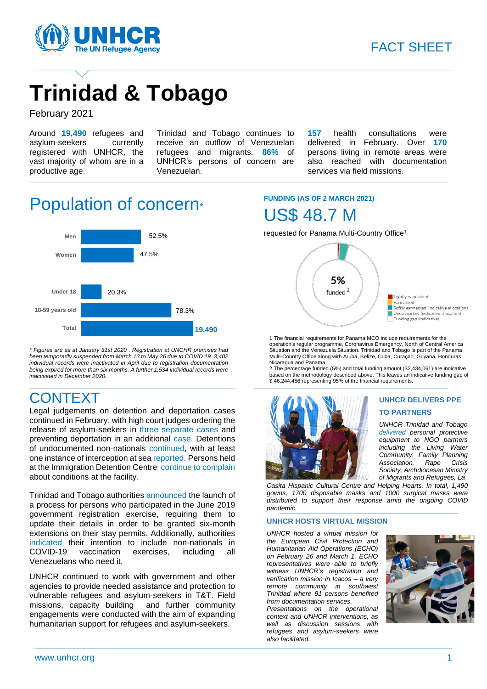

# **Trinidad & Tobago**

February 2021

Around **19,490** refugees and asylum-seekers currently registered with UNHCR, the vast majority of whom are in a productive age.

Trinidad and Tobago continues to receive an outflow of Venezuelan refugees and migrants. **86%** of UNHCR's persons of concern are Venezuelan.

**157** health consultations were delivered in February. Over **170** persons living in remote areas were also reached with documentation services via field missions.

## Population of concern<sup>\*</sup>



*\* Figures are as at January 31st 2020 . Registration at UNCHR premises had been temporarily suspended from March 13 to May 26 due to COVID 19. 3,402 individual records were inactivated in April due to registration documentation being expired for more than six months. A further 1,534 individual records were inactivated in December 2020.*

## **CONTEXT**

Legal judgements on detention and deportation cases continued in February, with high court judges ordering the release of asylum-seekers in [three](https://newsday.co.tt/2021/02/02/judge-orders-venezuelan-mother-17-and-baby-released-from-heliport/) [separate](https://newsday.co.tt/2021/02/05/judge-orders-state-to-release-two-venezuelan-women/) [cases](https://newsday.co.tt/2021/02/17/judge-orders-release-of-venezuelan-mother-and-child/) and preventing deportation in an additional [case.](https://newsday.co.tt/2021/02/24/judge-stops-another-venezuelan-deportation/) Detentions of undocumented non-nationals [continued,](https://www.looptt.com/content/six-children-among-10-venezuelans-held-cops-illegal-entry) with at least one instance of interception at se[a reported.](https://www.facebook.com/PoliceServiceTT/photos/a.246104478741574/4014931965192121/) Persons held at the Immigration Detention Centr[e continue to complain](https://eur02.safelinks.protection.outlook.com/?url=https%3A%2F%2Fwww.facebook.com%2Fangelo.m.marcelle%2Fvideos%2F791573865109773&data=04%7C01%7Clondon%40unhcr.org%7C767c04cefe5b4956f31b08d8c9267c81%7Ce5c37981666441348a0c6543d2af80be%7C0%7C0%7C637480514423127931%7CUnknown%7CTWFpbGZsb3d8eyJWIjoiMC4wLjAwMDAiLCJQIjoiV2luMzIiLCJBTiI6Ik1haWwiLCJXVCI6Mn0%3D%7C1000&sdata=E%2FZIyuH2ol6rPsY%2FhA6fzwr241B26FTu2kpkvWXeuYs%3D&reserved=0) about conditions at the facility.

Trinidad and Tobago authorities [announced](https://guardian.co.tt/news/govt-gives-registered-venezuelans-sixmonth-extension-6.2.1296651.ac3ad0d058) the launch of a process for persons who participated in the June 2019 government registration exercise, requiring them to update their details in order to be granted six-month extensions on their stay permits. Additionally, authorities [indicated](https://www.looptt.com/content/covid-19-vaccine-venezuelans-tt-who-need-it-says-pm) their intention to include non-nationals in COVID-19 vaccination exercises, including all Venezuelans who need it.

UNHCR continued to work with government and other agencies to provide needed assistance and protection to vulnerable refugees and asylum-seekers in T&T. Field missions, capacity building and further community engagements were conducted with the aim of expanding humanitarian support for refugees and asylum-seekers.

## **FUNDING (AS OF 2 MARCH 2021)** US\$ 48.7 M

requested for Panama Multi-Country Office<sup>1</sup>



1 The financial requirements for Panama MCO include requirements for the operation's regular programme, Coronavirus Emergency, North of Central America Situation and the Venezuela Situation. Trinidad and Tobago is part of the Panama Multi-Country Office along with Aruba, Belize, Cuba, Curaçao, Guyana, Honduras, Nicaragua and Panama

2 The percentage funded (5%) and total funding amount (\$2,434,061) are indicative based on the methodology described above. This leaves an indicative funding gap of \$ 46,244,456 representing 95% of the financial requirements.



**UNHCR DELIVERS PPE TO PARTNERS**

*UNHCR Trinidad and Tobago [delivered](https://www.facebook.com/1573339026284271/posts/2877685032516324/) personal protective equipment to NGO partners including the Living Water Community, Family Planning Association, Rape Crisis Society, Archdiocesan Ministry of Migrants and Refugees, La*

*Casita Hispanic Cultural Centre and Helping Hearts. In total, 1,490 gowns, 1700 disposable masks and 1000 surgical masks were distributed to support their response amid the ongoing COVID pandemic.*

#### **UNHCR HOSTS VIRTUAL MISSION**

*UNHCR hosted a virtual mission for the European Civil Protection and Humanitarian Aid Operations (ECHO) on February 26 and March 1. ECHO representatives were able to briefly witness UNHCR's registration and verification mission in Icacos – a very remote community in southwest Trinidad where 91 persons benefited from documentation services.*

*Presentations on the operational context and UNHCR interventions, as well as discussion sessions with refugees and asylum-seekers were also facilitated.*